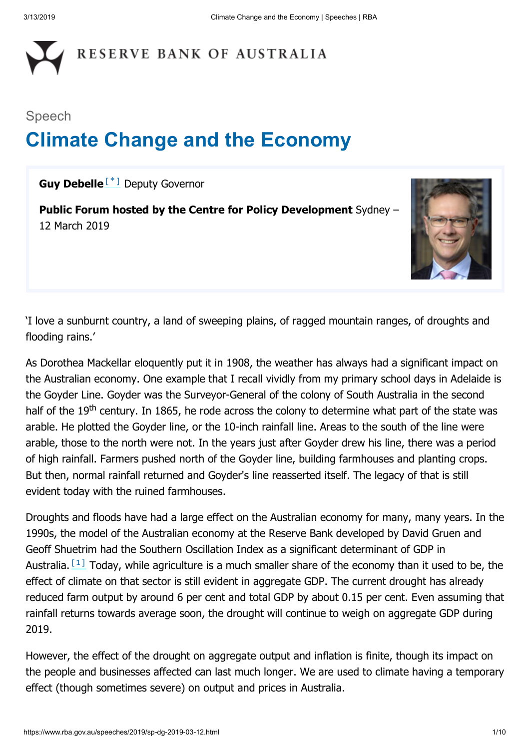# RESERVE BANK OF AUSTRALIA

# Speech **Climate Change and the Economy**

<span id="page-0-0"></span>**Guy Debelle**<sup>[[\\*](#page-8-0)]</sup> Deputy Governor

**Public Forum hosted by the Centre for Policy Development** Sydney – 12 March 2019



'I love a sunburnt country, a land of sweeping plains, of ragged mountain ranges, of droughts and flooding rains.'

As Dorothea Mackellar eloquently put it in 1908, the weather has always had a significant impact on the Australian economy. One example that I recall vividly from my primary school days in Adelaide is the Goyder Line. Goyder was the Surveyor-General of the colony of South Australia in the second half of the 19<sup>th</sup> century. In 1865, he rode across the colony to determine what part of the state was arable. He plotted the Goyder line, or the 10-inch rainfall line. Areas to the south of the line were arable, those to the north were not. In the years just after Goyder drew his line, there was a period of high rainfall. Farmers pushed north of the Goyder line, building farmhouses and planting crops. But then, normal rainfall returned and Goyder's line reasserted itself. The legacy of that is still evident today with the ruined farmhouses.

<span id="page-0-1"></span>Droughts and floods have had a large effect on the Australian economy for many, many years. In the 1990s, the model of the Australian economy at the Reserve Bank developed by David Gruen and Geoff Shuetrim had the Southern Oscillation Index as a significant determinant of GDP in Australia.  $[1]$  Today, while agriculture is a much smaller share of the economy than it used to be, the effect of climate on that sector is still evident in aggregate GDP. The current drought has already reduced farm output by around 6 per cent and total GDP by about 0.15 per cent. Even assuming that rainfall returns towards average soon, the drought will continue to weigh on aggregate GDP during 2019.

However, the effect of the drought on aggregate output and inflation is finite, though its impact on the people and businesses affected can last much longer. We are used to climate having a temporary effect (though sometimes severe) on output and prices in Australia.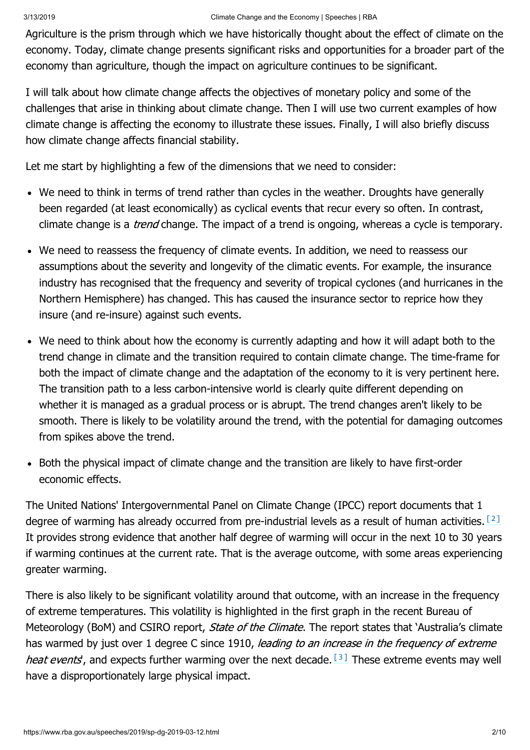Agriculture is the prism through which we have historically thought about the effect of climate on the economy. Today, climate change presents significant risks and opportunities for a broader part of the economy than agriculture, though the impact on agriculture continues to be significant.

I will talk about how climate change affects the objectives of monetary policy and some of the challenges that arise in thinking about climate change. Then I will use two current examples of how climate change is affecting the economy to illustrate these issues. Finally, I will also briefly discuss how climate change affects financial stability.

Let me start by highlighting a few of the dimensions that we need to consider:

- We need to think in terms of trend rather than cycles in the weather. Droughts have generally been regarded (at least economically) as cyclical events that recur every so often. In contrast, climate change is a *trend* change. The impact of a trend is ongoing, whereas a cycle is temporary.
- We need to reassess the frequency of climate events. In addition, we need to reassess our assumptions about the severity and longevity of the climatic events. For example, the insurance industry has recognised that the frequency and severity of tropical cyclones (and hurricanes in the Northern Hemisphere) has changed. This has caused the insurance sector to reprice how they insure (and re-insure) against such events.
- We need to think about how the economy is currently adapting and how it will adapt both to the trend change in climate and the transition required to contain climate change. The time-frame for both the impact of climate change and the adaptation of the economy to it is very pertinent here. The transition path to a less carbon-intensive world is clearly quite different depending on whether it is managed as a gradual process or is abrupt. The trend changes aren't likely to be smooth. There is likely to be volatility around the trend, with the potential for damaging outcomes from spikes above the trend.
- Both the physical impact of climate change and the transition are likely to have first-order economic effects.

<span id="page-1-0"></span>The United Nations' Intergovernmental Panel on Climate Change (IPCC) report documents that 1 degree of warming has already occurred from pre-industrial levels as a result of human activities.  $[2]$ It provides strong evidence that another half degree of warming will occur in the next 10 to 30 years if warming continues at the current rate. That is the average outcome, with some areas experiencing greater warming.

<span id="page-1-1"></span>There is also likely to be significant volatility around that outcome, with an increase in the frequency of extreme temperatures. This volatility is highlighted in the first graph in the recent Bureau of Meteorology (BoM) and CSIRO report, *State of the Climate*. The report states that 'Australia's climate has warmed by just over 1 degree C since 1910, leading to an increase in the frequency of extreme heat events, and expects further warming over the next decade.  $[3]$  These extreme events may well have a disproportionately large physical impact.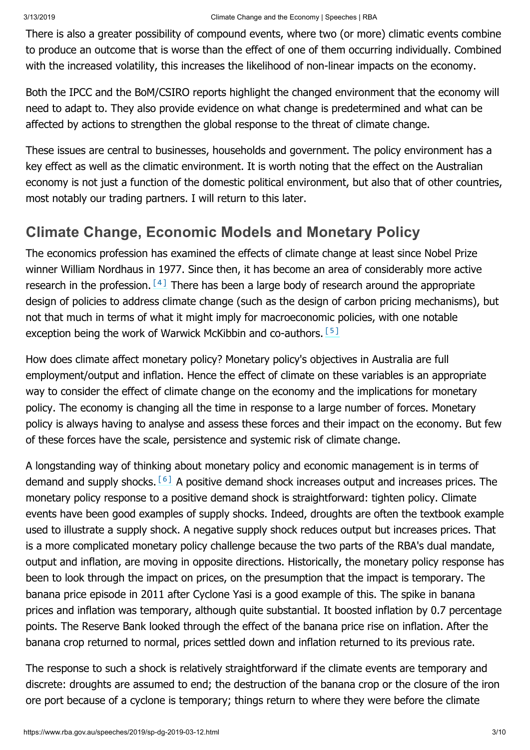There is also a greater possibility of compound events, where two (or more) climatic events combine to produce an outcome that is worse than the effect of one of them occurring individually. Combined with the increased volatility, this increases the likelihood of non-linear impacts on the economy.

Both the IPCC and the BoM/CSIRO reports highlight the changed environment that the economy will need to adapt to. They also provide evidence on what change is predetermined and what can be affected by actions to strengthen the global response to the threat of climate change.

These issues are central to businesses, households and government. The policy environment has a key effect as well as the climatic environment. It is worth noting that the effect on the Australian economy is not just a function of the domestic political environment, but also that of other countries, most notably our trading partners. I will return to this later.

# **Climate Change, Economic Models and Monetary Policy**

<span id="page-2-0"></span>The economics profession has examined the effects of climate change at least since Nobel Prize winner William Nordhaus in 1977. Since then, it has become an area of considerably more active research in the profession.  $[4]$  There has been a large body of research around the appropriate design of policies to address climate change (such as the design of carbon pricing mechanisms), but not that much in terms of what it might imply for macroeconomic policies, with one notable exception being the work of Warwick McKibbin and co-authors. [\[5\]](#page-9-0)

<span id="page-2-1"></span>How does climate affect monetary policy? Monetary policy's objectives in Australia are full employment/output and inflation. Hence the effect of climate on these variables is an appropriate way to consider the effect of climate change on the economy and the implications for monetary policy. The economy is changing all the time in response to a large number of forces. Monetary policy is always having to analyse and assess these forces and their impact on the economy. But few of these forces have the scale, persistence and systemic risk of climate change.

<span id="page-2-2"></span>A longstanding way of thinking about monetary policy and economic management is in terms of demand and supply shocks.  $[6]$  A positive demand shock increases output and increases prices. The monetary policy response to a positive demand shock is straightforward: tighten policy. Climate events have been good examples of supply shocks. Indeed, droughts are often the textbook example used to illustrate a supply shock. A negative supply shock reduces output but increases prices. That is a more complicated monetary policy challenge because the two parts of the RBA's dual mandate, output and inflation, are moving in opposite directions. Historically, the monetary policy response has been to look through the impact on prices, on the presumption that the impact is temporary. The banana price episode in 2011 after Cyclone Yasi is a good example of this. The spike in banana prices and inflation was temporary, although quite substantial. It boosted inflation by 0.7 percentage points. The Reserve Bank looked through the effect of the banana price rise on inflation. After the banana crop returned to normal, prices settled down and inflation returned to its previous rate.

The response to such a shock is relatively straightforward if the climate events are temporary and discrete: droughts are assumed to end; the destruction of the banana crop or the closure of the iron ore port because of a cyclone is temporary; things return to where they were before the climate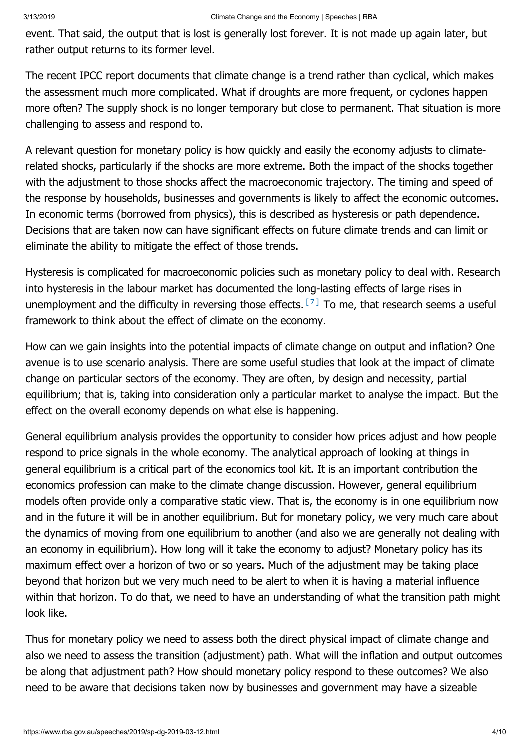event. That said, the output that is lost is generally lost forever. It is not made up again later, but rather output returns to its former level.

The recent IPCC report documents that climate change is a trend rather than cyclical, which makes the assessment much more complicated. What if droughts are more frequent, or cyclones happen more often? The supply shock is no longer temporary but close to permanent. That situation is more challenging to assess and respond to.

A relevant question for monetary policy is how quickly and easily the economy adjusts to climaterelated shocks, particularly if the shocks are more extreme. Both the impact of the shocks together with the adjustment to those shocks affect the macroeconomic trajectory. The timing and speed of the response by households, businesses and governments is likely to affect the economic outcomes. In economic terms (borrowed from physics), this is described as hysteresis or path dependence. Decisions that are taken now can have significant effects on future climate trends and can limit or eliminate the ability to mitigate the effect of those trends.

<span id="page-3-0"></span>Hysteresis is complicated for macroeconomic policies such as monetary policy to deal with. Research into hysteresis in the labour market has documented the long-lasting effects of large rises in unemploymentand the difficulty in reversing those effects.  $[7]$  To me, that research seems a useful framework to think about the effect of climate on the economy.

How can we gain insights into the potential impacts of climate change on output and inflation? One avenue is to use scenario analysis. There are some useful studies that look at the impact of climate change on particular sectors of the economy. They are often, by design and necessity, partial equilibrium; that is, taking into consideration only a particular market to analyse the impact. But the effect on the overall economy depends on what else is happening.

General equilibrium analysis provides the opportunity to consider how prices adjust and how people respond to price signals in the whole economy. The analytical approach of looking at things in general equilibrium is a critical part of the economics tool kit. It is an important contribution the economics profession can make to the climate change discussion. However, general equilibrium models often provide only a comparative static view. That is, the economy is in one equilibrium now and in the future it will be in another equilibrium. But for monetary policy, we very much care about the dynamics of moving from one equilibrium to another (and also we are generally not dealing with an economy in equilibrium). How long will it take the economy to adjust? Monetary policy has its maximum effect over a horizon of two or so years. Much of the adjustment may be taking place beyond that horizon but we very much need to be alert to when it is having a material influence within that horizon. To do that, we need to have an understanding of what the transition path might look like.

Thus for monetary policy we need to assess both the direct physical impact of climate change and also we need to assess the transition (adjustment) path. What will the inflation and output outcomes be along that adjustment path? How should monetary policy respond to these outcomes? We also need to be aware that decisions taken now by businesses and government may have a sizeable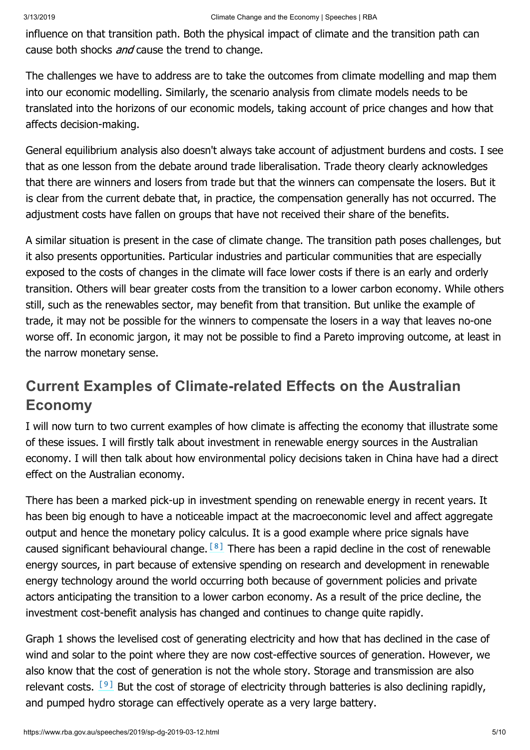influence on that transition path. Both the physical impact of climate and the transition path can cause both shocks *and* cause the trend to change.

The challenges we have to address are to take the outcomes from climate modelling and map them into our economic modelling. Similarly, the scenario analysis from climate models needs to be translated into the horizons of our economic models, taking account of price changes and how that affects decision-making.

General equilibrium analysis also doesn't always take account of adjustment burdens and costs. I see that as one lesson from the debate around trade liberalisation. Trade theory clearly acknowledges that there are winners and losers from trade but that the winners can compensate the losers. But it is clear from the current debate that, in practice, the compensation generally has not occurred. The adjustment costs have fallen on groups that have not received their share of the benefits.

A similar situation is present in the case of climate change. The transition path poses challenges, but it also presents opportunities. Particular industries and particular communities that are especially exposed to the costs of changes in the climate will face lower costs if there is an early and orderly transition. Others will bear greater costs from the transition to a lower carbon economy. While others still, such as the renewables sector, may benefit from that transition. But unlike the example of trade, it may not be possible for the winners to compensate the losers in a way that leaves no-one worse off. In economic jargon, it may not be possible to find a Pareto improving outcome, at least in the narrow monetary sense.

# **Current Examples of Climate-related Effects on the Australian Economy**

I will now turn to two current examples of how climate is affecting the economy that illustrate some of these issues. I will firstly talk about investment in renewable energy sources in the Australian economy. I will then talk about how environmental policy decisions taken in China have had a direct effect on the Australian economy.

<span id="page-4-0"></span>There has been a marked pick-up in investment spending on renewable energy in recent years. It has been big enough to have a noticeable impact at the macroeconomic level and affect aggregate output and hence the monetary policy calculus. It is a good example where price signals have caused significant behavioural change.  $[8]$  There has been a rapid decline in the cost of renewable energy sources, in part because of extensive spending on research and development in renewable energy technology around the world occurring both because of government policies and private actors anticipating the transition to a lower carbon economy. As a result of the price decline, the investment cost-benefit analysis has changed and continues to change quite rapidly.

<span id="page-4-1"></span>Graph 1 shows the levelised cost of generating electricity and how that has declined in the case of wind and solar to the point where they are now cost-effective sources of generation. However, we also know that the cost of generation is not the whole story. Storage and transmission are also relevant costs.  $[9]$  But the cost of storage of electricity through batteries is also declining rapidly, and pumped hydro storage can effectively operate as a very large battery.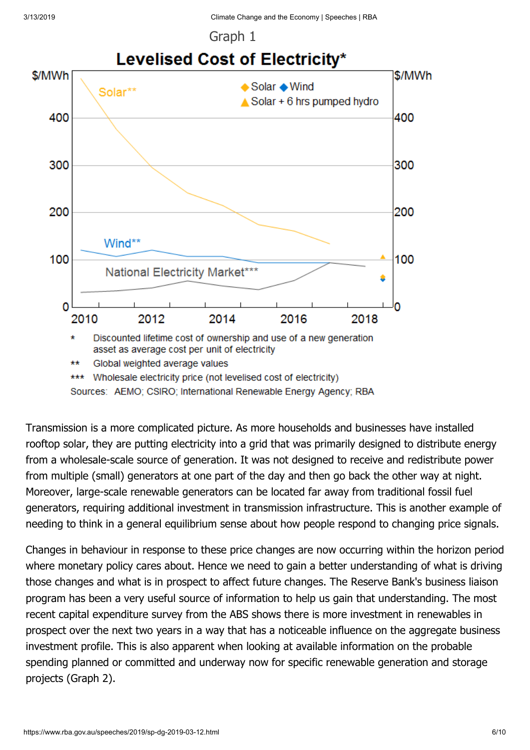

### Graph 1



Transmission is a more complicated picture. As more households and businesses have installed rooftop solar, they are putting electricity into a grid that was primarily designed to distribute energy from a wholesale-scale source of generation. It was not designed to receive and redistribute power from multiple (small) generators at one part of the day and then go back the other way at night. Moreover, large-scale renewable generators can be located far away from traditional fossil fuel generators, requiring additional investment in transmission infrastructure. This is another example of needing to think in a general equilibrium sense about how people respond to changing price signals.

Changes in behaviour in response to these price changes are now occurring within the horizon period where monetary policy cares about. Hence we need to gain a better understanding of what is driving those changes and what is in prospect to affect future changes. The Reserve Bank's business liaison program has been a very useful source of information to help us gain that understanding. The most recent capital expenditure survey from the ABS shows there is more investment in renewables in prospect over the next two years in a way that has a noticeable influence on the aggregate business investment profile. This is also apparent when looking at available information on the probable spending planned or committed and underway now for specific renewable generation and storage projects (Graph 2).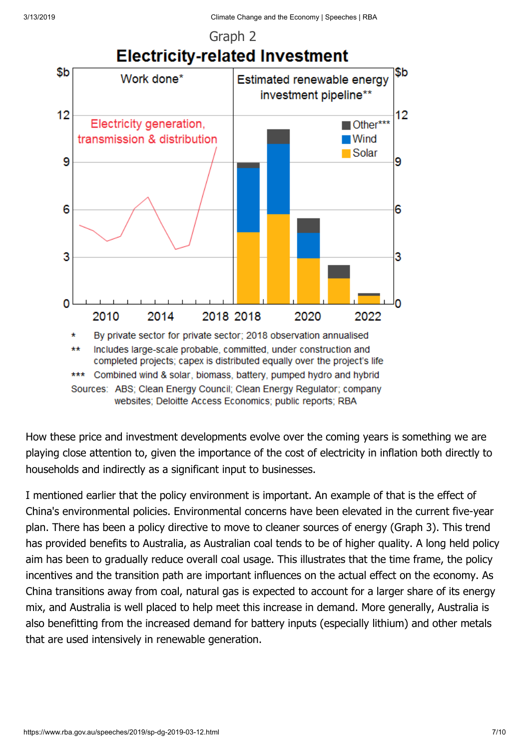

# Graph 2

How these price and investment developments evolve over the coming years is something we are

websites; Deloitte Access Economics; public reports; RBA

playing close attention to, given the importance of the cost of electricity in inflation both directly to households and indirectly as a significant input to businesses.

I mentioned earlier that the policy environment is important. An example of that is the effect of China's environmental policies. Environmental concerns have been elevated in the current five-year plan. There has been a policy directive to move to cleaner sources of energy (Graph 3). This trend has provided benefits to Australia, as Australian coal tends to be of higher quality. A long held policy aim has been to gradually reduce overall coal usage. This illustrates that the time frame, the policy incentives and the transition path are important influences on the actual effect on the economy. As China transitions away from coal, natural gas is expected to account for a larger share of its energy mix, and Australia is well placed to help meet this increase in demand. More generally, Australia is also benefitting from the increased demand for battery inputs (especially lithium) and other metals that are used intensively in renewable generation.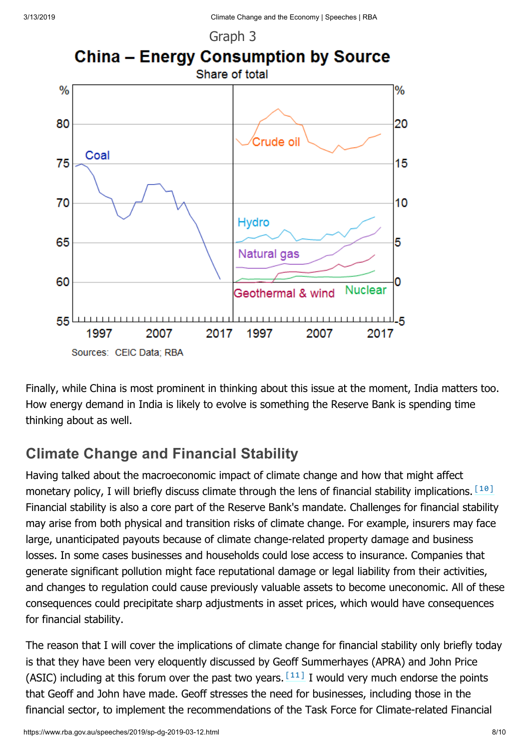

Finally, while China is most prominent in thinking about this issue at the moment, India matters too. How energy demand in India is likely to evolve is something the Reserve Bank is spending time thinking about as well.

# **Climate Change and Financial Stability**

<span id="page-7-0"></span>Having talked about the macroeconomic impact of climate change and how that might affect monetary policy, I will briefly discuss climate through the lens of financial stability implications.  $[10]$ Financial stability is also a core part of the Reserve Bank's mandate. Challenges for financial stability may arise from both physical and transition risks of climate change. For example, insurers may face large, unanticipated payouts because of climate change-related property damage and business losses. In some cases businesses and households could lose access to insurance. Companies that generate significant pollution might face reputational damage or legal liability from their activities, and changes to regulation could cause previously valuable assets to become uneconomic. All of these consequences could precipitate sharp adjustments in asset prices, which would have consequences for financial stability.

<span id="page-7-1"></span>The reason that I will cover the implications of climate change for financial stability only briefly today is that they have been very eloquently discussed by Geoff Summerhayes (APRA) and John Price (ASIC) including at this forum over the past two years.  $[11]$  I would very much endorse the points that Geoff and John have made. Geoff stresses the need for businesses, including those in the financial sector, to implement the recommendations of the Task Force for Climate-related Financial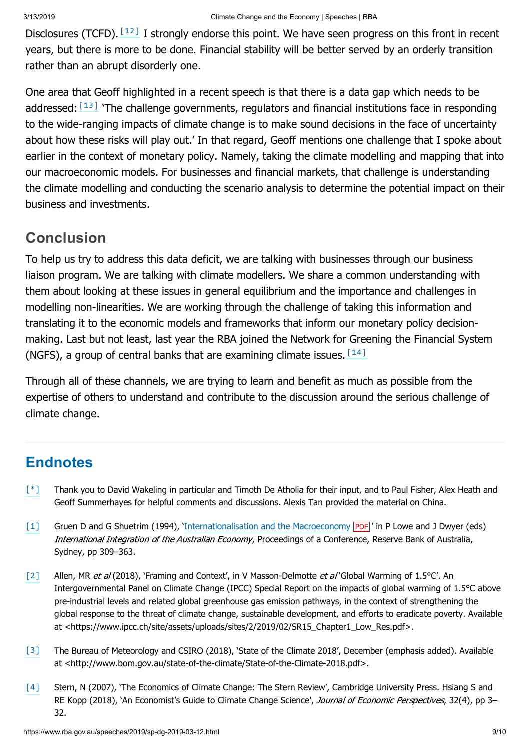<span id="page-8-5"></span>Disclosures (TCFD). [\[12\]](#page-9-7) I strongly endorse this point. We have seen progress on this front in recent years, but there is more to be done. Financial stability will be better served by an orderly transition rather than an abrupt disorderly one.

<span id="page-8-6"></span>One area that Geoff highlighted in a recent speech is that there is a data gap which needs to be addressed: $[13]$  'The challenge governments, regulators and financial institutions face in responding to the wide-ranging impacts of climate change is to make sound decisions in the face of uncertainty about how these risks will play out.' In that regard, Geoff mentions one challenge that I spoke about earlier in the context of monetary policy. Namely, taking the climate modelling and mapping that into our macroeconomic models. For businesses and financial markets, that challenge is understanding the climate modelling and conducting the scenario analysis to determine the potential impact on their business and investments.

### **Conclusion**

To help us try to address this data deficit, we are talking with businesses through our business liaison program. We are talking with climate modellers. We share a common understanding with them about looking at these issues in general equilibrium and the importance and challenges in modelling non-linearities. We are working through the challenge of taking this information and translating it to the economic models and frameworks that inform our monetary policy decisionmaking. Last but not least, last year the RBA joined the Network for Greening the Financial System (NGFS), a group of central banks that are examining climate issues.  $[14]$ 

<span id="page-8-7"></span>Through all of these channels, we are trying to learn and benefit as much as possible from the expertise of others to understand and contribute to the discussion around the serious challenge of climate change.

## **Endnotes**

- <span id="page-8-0"></span>Thank you to David Wakeling in particular and Timoth De Atholia for their input, and to Paul Fisher, Alex Heath and Geoff Summerhayes for helpful comments and discussions. Alexis Tan provided the material on China. [\[\\*\]](#page-0-0)
- <span id="page-8-1"></span>Gruen D and G Shuetrim (1994), '[Internationalisation and the Macroeconomy](https://www.rba.gov.au/publications/confs/1994/pdf/gruen-shuetrim.pdf) PDF' in P Lowe and J Dwyer (eds) International Integration of the Australian Economy, Proceedings of a Conference, Reserve Bank of Australia, Sydney, pp 309–363. [\[1\]](#page-0-1)
- <span id="page-8-2"></span>Allen, MR et al (2018), 'Framing and Context', in V Masson-Delmotte et al 'Global Warming of 1.5°C'. An Intergovernmental Panel on Climate Change (IPCC) Special Report on the impacts of global warming of 1.5°C above pre-industrial levels and related global greenhouse gas emission pathways, in the context of strengthening the global response to the threat of climate change, sustainable development, and efforts to eradicate poverty. Available at <https://www.ipcc.ch/site/assets/uploads/sites/2/2019/02/SR15\_Chapter1\_Low\_Res.pdf>. [\[2\]](#page-1-0)
- <span id="page-8-3"></span>The Bureau of Meteorology and CSIRO (2018), 'State of the Climate 2018', December (emphasis added). Available at <http://www.bom.gov.au/state-of-the-climate/State-of-the-Climate-2018.pdf>. [\[3\]](#page-1-1)
- <span id="page-8-4"></span>Stern, N (2007), 'The Economics of Climate Change: The Stern Review', Cambridge University Press. Hsiang S and RE Kopp (2018), 'An Economist's Guide to Climate Change Science', Journal of Economic Perspectives, 32(4), pp 3-32. [\[4\]](#page-2-0)